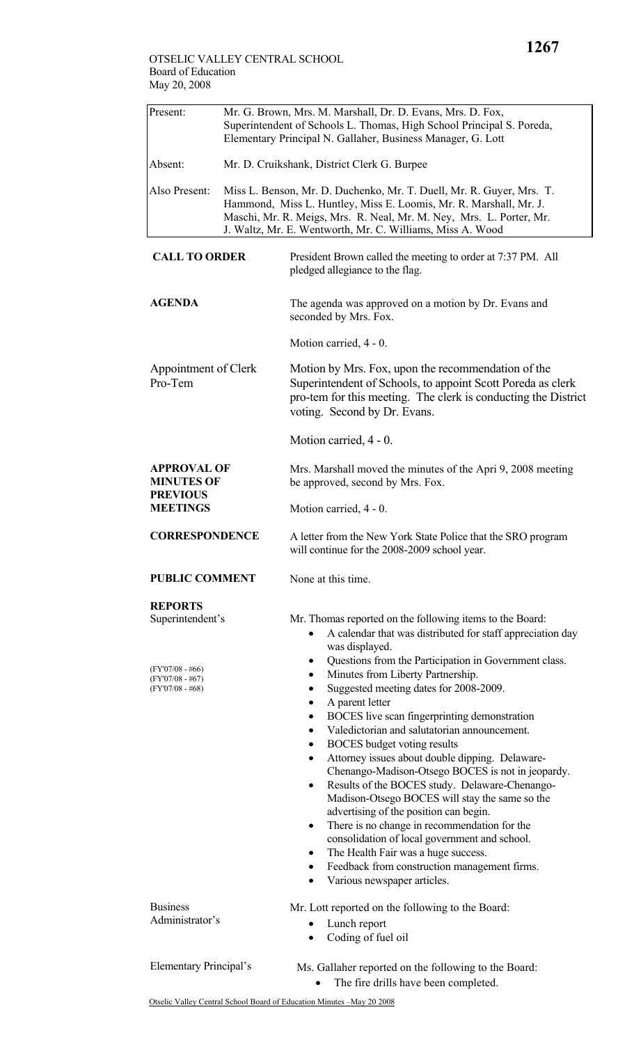| Present:                                                                       | Mr. G. Brown, Mrs. M. Marshall, Dr. D. Evans, Mrs. D. Fox,<br>Superintendent of Schools L. Thomas, High School Principal S. Poreda,<br>Elementary Principal N. Gallaher, Business Manager, G. Lott |                                                                                                                                                                                                                                                                                                                                                                                                                                                                                                                                                                                                                                                                                                                                                                                                                                                                                                                                                                                                                                                  |  |  |  |
|--------------------------------------------------------------------------------|----------------------------------------------------------------------------------------------------------------------------------------------------------------------------------------------------|--------------------------------------------------------------------------------------------------------------------------------------------------------------------------------------------------------------------------------------------------------------------------------------------------------------------------------------------------------------------------------------------------------------------------------------------------------------------------------------------------------------------------------------------------------------------------------------------------------------------------------------------------------------------------------------------------------------------------------------------------------------------------------------------------------------------------------------------------------------------------------------------------------------------------------------------------------------------------------------------------------------------------------------------------|--|--|--|
| Absent:                                                                        | Mr. D. Cruikshank, District Clerk G. Burpee                                                                                                                                                        |                                                                                                                                                                                                                                                                                                                                                                                                                                                                                                                                                                                                                                                                                                                                                                                                                                                                                                                                                                                                                                                  |  |  |  |
| Also Present:                                                                  |                                                                                                                                                                                                    | Miss L. Benson, Mr. D. Duchenko, Mr. T. Duell, Mr. R. Guyer, Mrs. T.<br>Hammond, Miss L. Huntley, Miss E. Loomis, Mr. R. Marshall, Mr. J.<br>Maschi, Mr. R. Meigs, Mrs. R. Neal, Mr. M. Ney, Mrs. L. Porter, Mr.<br>J. Waltz, Mr. E. Wentworth, Mr. C. Williams, Miss A. Wood                                                                                                                                                                                                                                                                                                                                                                                                                                                                                                                                                                                                                                                                                                                                                                    |  |  |  |
| <b>CALL TO ORDER</b>                                                           |                                                                                                                                                                                                    | President Brown called the meeting to order at 7:37 PM. All<br>pledged allegiance to the flag.                                                                                                                                                                                                                                                                                                                                                                                                                                                                                                                                                                                                                                                                                                                                                                                                                                                                                                                                                   |  |  |  |
| <b>AGENDA</b>                                                                  |                                                                                                                                                                                                    | The agenda was approved on a motion by Dr. Evans and<br>seconded by Mrs. Fox.                                                                                                                                                                                                                                                                                                                                                                                                                                                                                                                                                                                                                                                                                                                                                                                                                                                                                                                                                                    |  |  |  |
|                                                                                |                                                                                                                                                                                                    | Motion carried, 4 - 0.                                                                                                                                                                                                                                                                                                                                                                                                                                                                                                                                                                                                                                                                                                                                                                                                                                                                                                                                                                                                                           |  |  |  |
| Appointment of Clerk<br>Pro-Tem                                                |                                                                                                                                                                                                    | Motion by Mrs. Fox, upon the recommendation of the<br>Superintendent of Schools, to appoint Scott Poreda as clerk<br>pro-tem for this meeting. The clerk is conducting the District<br>voting. Second by Dr. Evans.                                                                                                                                                                                                                                                                                                                                                                                                                                                                                                                                                                                                                                                                                                                                                                                                                              |  |  |  |
|                                                                                |                                                                                                                                                                                                    | Motion carried, 4 - 0.                                                                                                                                                                                                                                                                                                                                                                                                                                                                                                                                                                                                                                                                                                                                                                                                                                                                                                                                                                                                                           |  |  |  |
| <b>APPROVAL OF</b><br><b>MINUTES OF</b><br><b>PREVIOUS</b><br><b>MEETINGS</b>  |                                                                                                                                                                                                    | Mrs. Marshall moved the minutes of the Apri 9, 2008 meeting<br>be approved, second by Mrs. Fox.                                                                                                                                                                                                                                                                                                                                                                                                                                                                                                                                                                                                                                                                                                                                                                                                                                                                                                                                                  |  |  |  |
|                                                                                |                                                                                                                                                                                                    | Motion carried, 4 - 0.                                                                                                                                                                                                                                                                                                                                                                                                                                                                                                                                                                                                                                                                                                                                                                                                                                                                                                                                                                                                                           |  |  |  |
| <b>CORRESPONDENCE</b>                                                          |                                                                                                                                                                                                    | A letter from the New York State Police that the SRO program<br>will continue for the 2008-2009 school year.                                                                                                                                                                                                                                                                                                                                                                                                                                                                                                                                                                                                                                                                                                                                                                                                                                                                                                                                     |  |  |  |
| <b>PUBLIC COMMENT</b>                                                          |                                                                                                                                                                                                    | None at this time.                                                                                                                                                                                                                                                                                                                                                                                                                                                                                                                                                                                                                                                                                                                                                                                                                                                                                                                                                                                                                               |  |  |  |
| <b>REPORTS</b><br>Superintendent's<br>$(FY'07/08 - #66)$<br>$(FY'07/08 - #67)$ |                                                                                                                                                                                                    | Mr. Thomas reported on the following items to the Board:<br>A calendar that was distributed for staff appreciation day<br>was displayed.<br>Questions from the Participation in Government class.<br>$\bullet$<br>Minutes from Liberty Partnership.<br>٠<br>Suggested meeting dates for 2008-2009.<br>٠<br>A parent letter<br>٠<br>BOCES live scan fingerprinting demonstration<br>$\bullet$<br>Valedictorian and salutatorian announcement.<br>$\bullet$<br>BOCES budget voting results<br>٠<br>Attorney issues about double dipping. Delaware-<br>٠<br>Chenango-Madison-Otsego BOCES is not in jeopardy.<br>Results of the BOCES study. Delaware-Chenango-<br>$\bullet$<br>Madison-Otsego BOCES will stay the same so the<br>advertising of the position can begin.<br>There is no change in recommendation for the<br>$\bullet$<br>consolidation of local government and school.<br>The Health Fair was a huge success.<br>$\bullet$<br>Feedback from construction management firms.<br>$\bullet$<br>Various newspaper articles.<br>$\bullet$ |  |  |  |
| $(FY'07/08 - #68)$                                                             |                                                                                                                                                                                                    |                                                                                                                                                                                                                                                                                                                                                                                                                                                                                                                                                                                                                                                                                                                                                                                                                                                                                                                                                                                                                                                  |  |  |  |
| <b>Business</b><br>Administrator's                                             |                                                                                                                                                                                                    | Mr. Lott reported on the following to the Board:<br>Lunch report<br>$\bullet$<br>Coding of fuel oil<br>$\bullet$                                                                                                                                                                                                                                                                                                                                                                                                                                                                                                                                                                                                                                                                                                                                                                                                                                                                                                                                 |  |  |  |
| Elementary Principal's                                                         |                                                                                                                                                                                                    | Ms. Gallaher reported on the following to the Board:<br>The fire drills have been completed.                                                                                                                                                                                                                                                                                                                                                                                                                                                                                                                                                                                                                                                                                                                                                                                                                                                                                                                                                     |  |  |  |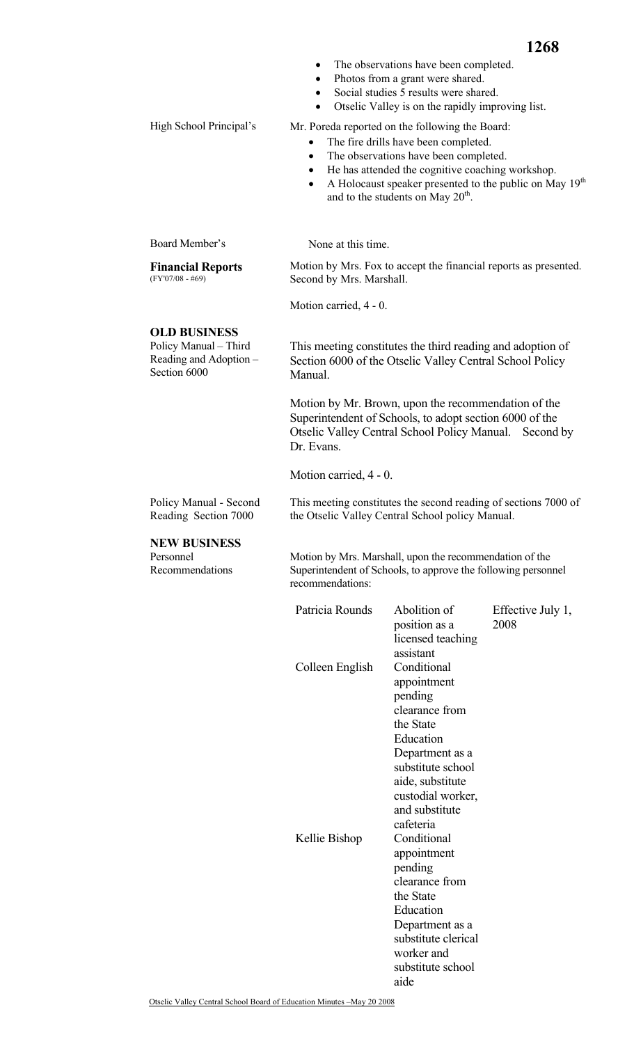| ٠                                                                                                                                                                     |                                       |                                                                                                                                                                                                                                                                                                                                                                                                                                                                                                                                                                                                                                                                                                                     |  |  |
|-----------------------------------------------------------------------------------------------------------------------------------------------------------------------|---------------------------------------|---------------------------------------------------------------------------------------------------------------------------------------------------------------------------------------------------------------------------------------------------------------------------------------------------------------------------------------------------------------------------------------------------------------------------------------------------------------------------------------------------------------------------------------------------------------------------------------------------------------------------------------------------------------------------------------------------------------------|--|--|
| Mr. Poreda reported on the following the Board:<br>The fire drills have been completed.<br>$\bullet$<br>The observations have been completed.<br>$\bullet$            |                                       |                                                                                                                                                                                                                                                                                                                                                                                                                                                                                                                                                                                                                                                                                                                     |  |  |
| $\bullet$                                                                                                                                                             |                                       |                                                                                                                                                                                                                                                                                                                                                                                                                                                                                                                                                                                                                                                                                                                     |  |  |
|                                                                                                                                                                       |                                       |                                                                                                                                                                                                                                                                                                                                                                                                                                                                                                                                                                                                                                                                                                                     |  |  |
| Motion by Mrs. Fox to accept the financial reports as presented.<br>Second by Mrs. Marshall.                                                                          |                                       |                                                                                                                                                                                                                                                                                                                                                                                                                                                                                                                                                                                                                                                                                                                     |  |  |
|                                                                                                                                                                       |                                       |                                                                                                                                                                                                                                                                                                                                                                                                                                                                                                                                                                                                                                                                                                                     |  |  |
|                                                                                                                                                                       |                                       |                                                                                                                                                                                                                                                                                                                                                                                                                                                                                                                                                                                                                                                                                                                     |  |  |
| This meeting constitutes the third reading and adoption of<br>Section 6000 of the Otselic Valley Central School Policy<br>Manual.                                     |                                       |                                                                                                                                                                                                                                                                                                                                                                                                                                                                                                                                                                                                                                                                                                                     |  |  |
| Dr. Evans.                                                                                                                                                            |                                       |                                                                                                                                                                                                                                                                                                                                                                                                                                                                                                                                                                                                                                                                                                                     |  |  |
| Motion carried, 4 - 0.                                                                                                                                                |                                       |                                                                                                                                                                                                                                                                                                                                                                                                                                                                                                                                                                                                                                                                                                                     |  |  |
| This meeting constitutes the second reading of sections 7000 of<br>Policy Manual - Second<br>Reading Section 7000<br>the Otselic Valley Central School policy Manual. |                                       |                                                                                                                                                                                                                                                                                                                                                                                                                                                                                                                                                                                                                                                                                                                     |  |  |
| <b>NEW BUSINESS</b>                                                                                                                                                   |                                       |                                                                                                                                                                                                                                                                                                                                                                                                                                                                                                                                                                                                                                                                                                                     |  |  |
| Motion by Mrs. Marshall, upon the recommendation of the<br>Superintendent of Schools, to approve the following personnel<br>recommendations:                          |                                       |                                                                                                                                                                                                                                                                                                                                                                                                                                                                                                                                                                                                                                                                                                                     |  |  |
| Patricia Rounds                                                                                                                                                       | Abolition of<br>position as a         | Effective July 1,<br>2008                                                                                                                                                                                                                                                                                                                                                                                                                                                                                                                                                                                                                                                                                           |  |  |
|                                                                                                                                                                       | assistant                             |                                                                                                                                                                                                                                                                                                                                                                                                                                                                                                                                                                                                                                                                                                                     |  |  |
|                                                                                                                                                                       | appointment                           |                                                                                                                                                                                                                                                                                                                                                                                                                                                                                                                                                                                                                                                                                                                     |  |  |
|                                                                                                                                                                       |                                       |                                                                                                                                                                                                                                                                                                                                                                                                                                                                                                                                                                                                                                                                                                                     |  |  |
|                                                                                                                                                                       | the State                             |                                                                                                                                                                                                                                                                                                                                                                                                                                                                                                                                                                                                                                                                                                                     |  |  |
|                                                                                                                                                                       |                                       |                                                                                                                                                                                                                                                                                                                                                                                                                                                                                                                                                                                                                                                                                                                     |  |  |
|                                                                                                                                                                       | substitute school                     |                                                                                                                                                                                                                                                                                                                                                                                                                                                                                                                                                                                                                                                                                                                     |  |  |
|                                                                                                                                                                       | aide, substitute                      |                                                                                                                                                                                                                                                                                                                                                                                                                                                                                                                                                                                                                                                                                                                     |  |  |
|                                                                                                                                                                       | and substitute                        |                                                                                                                                                                                                                                                                                                                                                                                                                                                                                                                                                                                                                                                                                                                     |  |  |
|                                                                                                                                                                       | cafeteria                             |                                                                                                                                                                                                                                                                                                                                                                                                                                                                                                                                                                                                                                                                                                                     |  |  |
|                                                                                                                                                                       |                                       |                                                                                                                                                                                                                                                                                                                                                                                                                                                                                                                                                                                                                                                                                                                     |  |  |
|                                                                                                                                                                       |                                       |                                                                                                                                                                                                                                                                                                                                                                                                                                                                                                                                                                                                                                                                                                                     |  |  |
|                                                                                                                                                                       | appointment<br>pending                |                                                                                                                                                                                                                                                                                                                                                                                                                                                                                                                                                                                                                                                                                                                     |  |  |
|                                                                                                                                                                       | clearance from<br>the State           |                                                                                                                                                                                                                                                                                                                                                                                                                                                                                                                                                                                                                                                                                                                     |  |  |
|                                                                                                                                                                       | ٠<br>Colleen English<br>Kellie Bishop | The observations have been completed.<br>Photos from a grant were shared.<br>Social studies 5 results were shared.<br>Otselic Valley is on the rapidly improving list.<br>He has attended the cognitive coaching workshop.<br>A Holocaust speaker presented to the public on May 19 <sup>th</sup><br>and to the students on May 20 <sup>th</sup> .<br>None at this time.<br>Motion carried, 4 - 0.<br>Motion by Mr. Brown, upon the recommendation of the<br>Superintendent of Schools, to adopt section 6000 of the<br>Otselic Valley Central School Policy Manual. Second by<br>licensed teaching<br>Conditional<br>pending<br>clearance from<br>Education<br>Department as a<br>custodial worker,<br>Conditional |  |  |

Department as a substitute clerical worker and substitute school

aide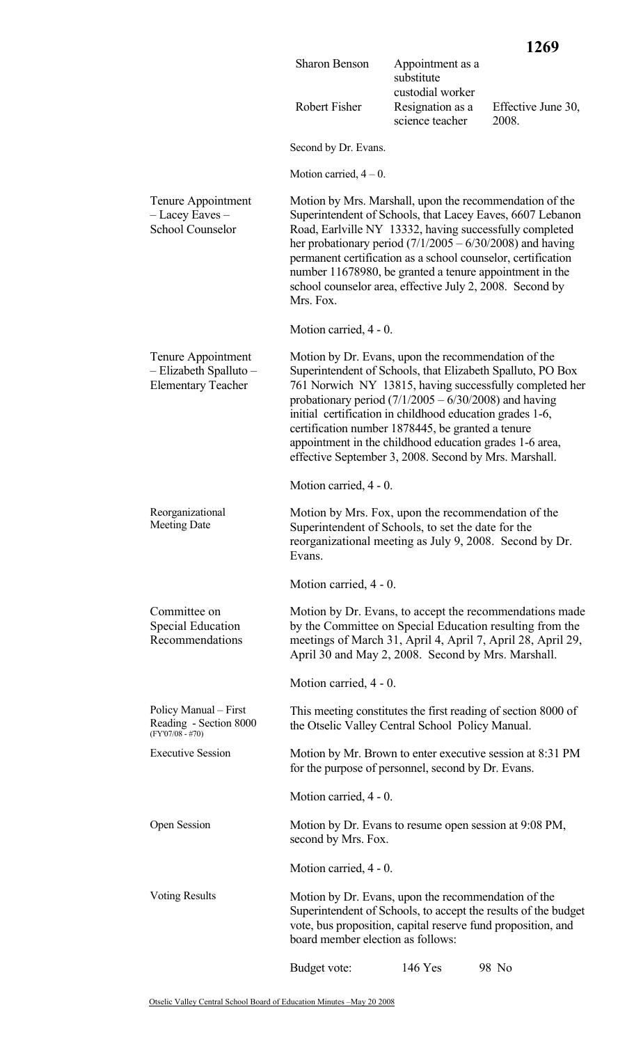|                                                                                               |                                                                                                                                                                                                                                                                                                                                                                                                                                                                              |                                                    | 1269                        |  |
|-----------------------------------------------------------------------------------------------|------------------------------------------------------------------------------------------------------------------------------------------------------------------------------------------------------------------------------------------------------------------------------------------------------------------------------------------------------------------------------------------------------------------------------------------------------------------------------|----------------------------------------------------|-----------------------------|--|
|                                                                                               | <b>Sharon Benson</b>                                                                                                                                                                                                                                                                                                                                                                                                                                                         | Appointment as a<br>substitute<br>custodial worker |                             |  |
|                                                                                               | Robert Fisher                                                                                                                                                                                                                                                                                                                                                                                                                                                                | Resignation as a<br>science teacher                | Effective June 30,<br>2008. |  |
|                                                                                               | Second by Dr. Evans.                                                                                                                                                                                                                                                                                                                                                                                                                                                         |                                                    |                             |  |
|                                                                                               | Motion carried, $4-0$ .                                                                                                                                                                                                                                                                                                                                                                                                                                                      |                                                    |                             |  |
| Tenure Appointment<br>- Lacey Eaves -<br><b>School Counselor</b>                              | Motion by Mrs. Marshall, upon the recommendation of the<br>Superintendent of Schools, that Lacey Eaves, 6607 Lebanon<br>Road, Earlville NY 13332, having successfully completed<br>her probationary period $(7/1/2005 - 6/30/2008)$ and having<br>permanent certification as a school counselor, certification<br>number 11678980, be granted a tenure appointment in the<br>school counselor area, effective July 2, 2008. Second by<br>Mrs. Fox.                           |                                                    |                             |  |
|                                                                                               | Motion carried, 4 - 0.                                                                                                                                                                                                                                                                                                                                                                                                                                                       |                                                    |                             |  |
| Tenure Appointment<br>- Elizabeth Spalluto -<br><b>Elementary Teacher</b>                     | Motion by Dr. Evans, upon the recommendation of the<br>Superintendent of Schools, that Elizabeth Spalluto, PO Box<br>761 Norwich NY 13815, having successfully completed her<br>probationary period $(7/1/2005 - 6/30/2008)$ and having<br>initial certification in childhood education grades 1-6,<br>certification number 1878445, be granted a tenure<br>appointment in the childhood education grades 1-6 area,<br>effective September 3, 2008. Second by Mrs. Marshall. |                                                    |                             |  |
|                                                                                               | Motion carried, 4 - 0.                                                                                                                                                                                                                                                                                                                                                                                                                                                       |                                                    |                             |  |
| Reorganizational<br><b>Meeting Date</b>                                                       | Motion by Mrs. Fox, upon the recommendation of the<br>Superintendent of Schools, to set the date for the<br>reorganizational meeting as July 9, 2008. Second by Dr.<br>Evans.                                                                                                                                                                                                                                                                                                |                                                    |                             |  |
|                                                                                               | Motion carried, 4 - 0.                                                                                                                                                                                                                                                                                                                                                                                                                                                       |                                                    |                             |  |
| Committee on<br><b>Special Education</b><br>Recommendations                                   | Motion by Dr. Evans, to accept the recommendations made<br>by the Committee on Special Education resulting from the<br>meetings of March 31, April 4, April 7, April 28, April 29,<br>April 30 and May 2, 2008. Second by Mrs. Marshall.                                                                                                                                                                                                                                     |                                                    |                             |  |
|                                                                                               | Motion carried, 4 - 0.                                                                                                                                                                                                                                                                                                                                                                                                                                                       |                                                    |                             |  |
| Policy Manual – First<br>Reading - Section 8000<br>$(FY'07/08 - #70)$                         | This meeting constitutes the first reading of section 8000 of<br>the Otselic Valley Central School Policy Manual.                                                                                                                                                                                                                                                                                                                                                            |                                                    |                             |  |
| <b>Executive Session</b>                                                                      | Motion by Mr. Brown to enter executive session at 8:31 PM<br>for the purpose of personnel, second by Dr. Evans.                                                                                                                                                                                                                                                                                                                                                              |                                                    |                             |  |
|                                                                                               | Motion carried, 4 - 0.                                                                                                                                                                                                                                                                                                                                                                                                                                                       |                                                    |                             |  |
| Open Session<br>Motion by Dr. Evans to resume open session at 9:08 PM,<br>second by Mrs. Fox. |                                                                                                                                                                                                                                                                                                                                                                                                                                                                              |                                                    |                             |  |
|                                                                                               | Motion carried, 4 - 0.                                                                                                                                                                                                                                                                                                                                                                                                                                                       |                                                    |                             |  |
| <b>Voting Results</b>                                                                         | Motion by Dr. Evans, upon the recommendation of the<br>Superintendent of Schools, to accept the results of the budget<br>vote, bus proposition, capital reserve fund proposition, and<br>board member election as follows:                                                                                                                                                                                                                                                   |                                                    |                             |  |
|                                                                                               | Budget vote:                                                                                                                                                                                                                                                                                                                                                                                                                                                                 | 146 Yes                                            | 98 No                       |  |